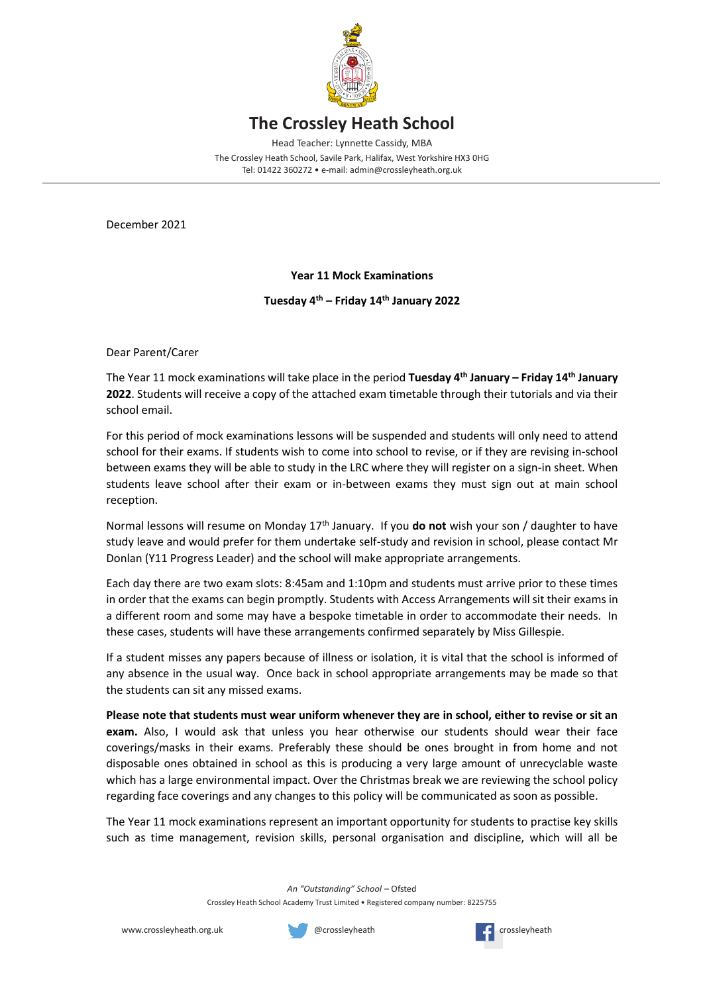

## **The Crossley Heath School**

Head Teacher: Lynnette Cassidy, MBA

The Crossley Heath School, Savile Park, Halifax, West Yorkshire HX3 0HG Tel: 01422 360272 • e-mail: admin@crossleyheath.org.uk

December 2021

## **Year 11 Mock Examinations**

**Tuesday 4 th – Friday 14th January 2022**

Dear Parent/Carer

The Year 11 mock examinations will take place in the period **Tuesday 4 th January – Friday 14th January 2022**. Students will receive a copy of the attached exam timetable through their tutorials and via their school email.

For this period of mock examinations lessons will be suspended and students will only need to attend school for their exams. If students wish to come into school to revise, or if they are revising in-school between exams they will be able to study in the LRC where they will register on a sign-in sheet. When students leave school after their exam or in-between exams they must sign out at main school reception.

Normal lessons will resume on Monday 17th January. If you **do not** wish your son / daughter to have study leave and would prefer for them undertake self-study and revision in school, please contact Mr Donlan (Y11 Progress Leader) and the school will make appropriate arrangements.

Each day there are two exam slots: 8:45am and 1:10pm and students must arrive prior to these times in order that the exams can begin promptly. Students with Access Arrangements will sit their exams in a different room and some may have a bespoke timetable in order to accommodate their needs. In these cases, students will have these arrangements confirmed separately by Miss Gillespie.

If a student misses any papers because of illness or isolation, it is vital that the school is informed of any absence in the usual way. Once back in school appropriate arrangements may be made so that the students can sit any missed exams.

**Please note that students must wear uniform whenever they are in school, either to revise or sit an exam.** Also, I would ask that unless you hear otherwise our students should wear their face coverings/masks in their exams. Preferably these should be ones brought in from home and not disposable ones obtained in school as this is producing a very large amount of unrecyclable waste which has a large environmental impact. Over the Christmas break we are reviewing the school policy regarding face coverings and any changes to this policy will be communicated as soon as possible.

The Year 11 mock examinations represent an important opportunity for students to practise key skills such as time management, revision skills, personal organisation and discipline, which will all be

*An "Outstanding" School* – Ofsted

Crossley Heath School Academy Trust Limited • Registered company number: 8225755